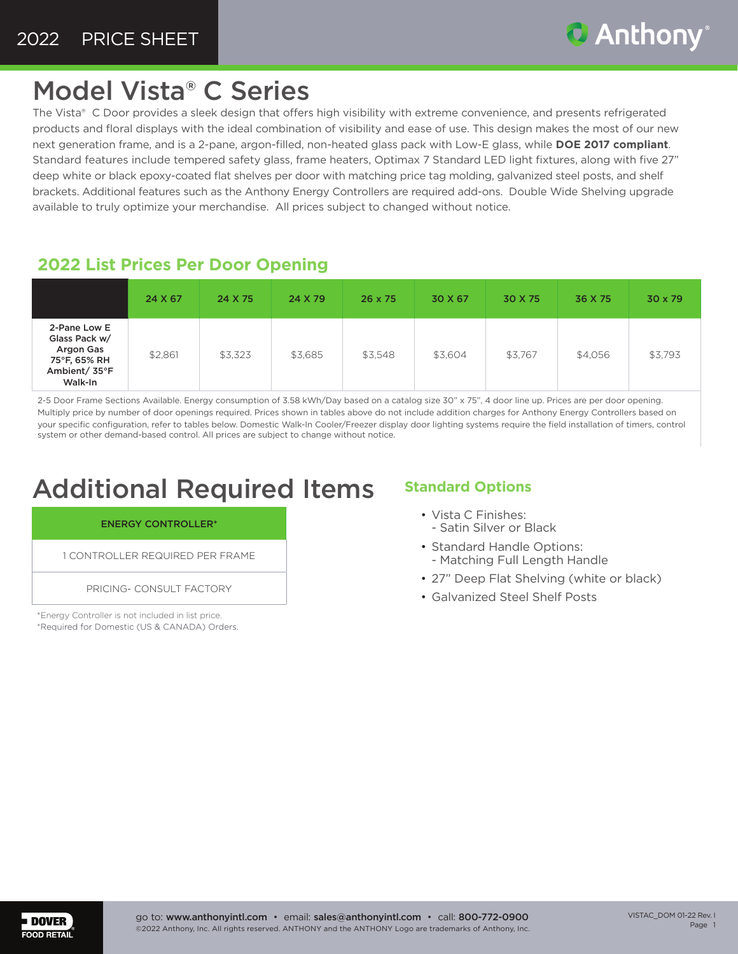

## Model Vista® C Series

The Vista® C Door provides a sleek design that offers high visibility with extreme convenience, and presents refrigerated products and floral displays with the ideal combination of visibility and ease of use. This design makes the most of our new next generation frame, and is a 2-pane, argon-filled, non-heated glass pack with Low-E glass, while **DOE 2017 compliant**. Standard features include tempered safety glass, frame heaters, Optimax 7 Standard LED light fixtures, along with five 27" deep white or black epoxy-coated flat shelves per door with matching price tag molding, galvanized steel posts, and shelf brackets. Additional features such as the Anthony Energy Controllers are required add-ons. Double Wide Shelving upgrade available to truly optimize your merchandise. All prices subject to changed without notice.

### **2022 List Prices Per Door Opening**

|                                                                                        | 24 X 67 | 24 X 75 | 24 X 79 | $26 \times 75$ | 30 X 67 | 30 X 75 | 36 X 75 | 30 x 79 |
|----------------------------------------------------------------------------------------|---------|---------|---------|----------------|---------|---------|---------|---------|
| 2-Pane Low E<br>Glass Pack w/<br>Argon Gas<br>75°F, 65% RH<br>Ambient/ 35°F<br>Walk-In | \$2,861 | \$3,323 | \$3,685 | \$3,548        | \$3,604 | \$3,767 | \$4,056 | \$3,793 |

2-5 Door Frame Sections Available. Energy consumption of 3.58 kWh/Day based on a catalog size 30" x 75", 4 door line up. Prices are per door opening. Multiply price by number of door openings required. Prices shown in tables above do not include addition charges for Anthony Energy Controllers based on your specific configuration, refer to tables below. Domestic Walk-In Cooler/Freezer display door lighting systems require the field installation of timers, control system or other demand-based control. All prices are subject to change without notice.

### Additional Required Items

#### ENERGY CONTROLLER\*

1 CONTROLLER REQUIRED PER FRAME

PRICING- CONSULT FACTORY

\*Energy Controller is not included in list price. \*Required for Domestic (US & CANADA) Orders.

#### **Standard Options**

- Vista C Finishes: - Satin Silver or Black
- Standard Handle Options: - Matching Full Length Handle
- 27" Deep Flat Shelving (white or black)
- Galvanized Steel Shelf Posts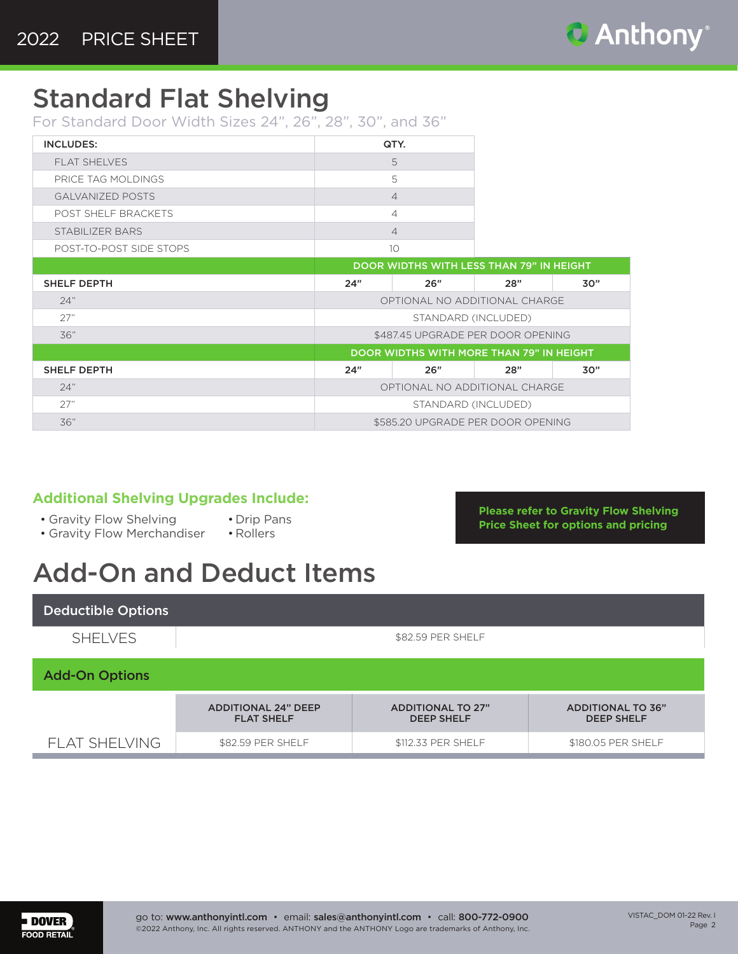

**Please refer to Gravity Flow Shelving Price Sheet for options and pricing**

### Standard Flat Shelving

For Standard Door Width Sizes 24", 26", 28", 30", and 36"

| <b>INCLUDES:</b>        | QTY. |
|-------------------------|------|
| <b>FLAT SHELVES</b>     | 5    |
| PRICE TAG MOLDINGS      | 5    |
| <b>GALVANIZED POSTS</b> |      |
| POST SHELF BRACKETS     |      |
| STABILIZER BARS         |      |
| POST-TO-POST SIDE STOPS |      |

|                    | <b>DOOR WIDTHS WITH LESS THAN 79" IN HEIGHT</b> |     |     |     |  |  |  |
|--------------------|-------------------------------------------------|-----|-----|-----|--|--|--|
| <b>SHELF DEPTH</b> | 24"                                             | 26" | 28" | 30" |  |  |  |
| 24"                | OPTIONAL NO ADDITIONAL CHARGE                   |     |     |     |  |  |  |
| 27"                | STANDARD (INCLUDED)                             |     |     |     |  |  |  |
| 36"                | \$487.45 UPGRADE PER DOOR OPENING               |     |     |     |  |  |  |
|                    | DOOR WIDTHS WITH MORE THAN 79" IN HEIGHT        |     |     |     |  |  |  |
| <b>SHELF DEPTH</b> | 24"                                             | 26" | 28" | 30" |  |  |  |
| 24"                | OPTIONAL NO ADDITIONAL CHARGE                   |     |     |     |  |  |  |
| 27"                | STANDARD (INCLUDED)                             |     |     |     |  |  |  |
|                    |                                                 |     |     |     |  |  |  |

#### **Additional Shelving Upgrades Include:**

- Gravity Flow Shelving
- Drip Pans • Rollers
- Gravity Flow Merchandiser

# Add-On and Deduct Items

Deductible Options SHELVES | SHELVES Add-On Options ADDITIONAL 24" DEEP FLAT SHELF ADDITIONAL TO 27" DEEP SHELF ADDITIONAL TO 36" DEEP SHELF FLAT SHELVING \$82.59 PER SHELF \$112.33 PER SHELF \$180.05 PER SHELF